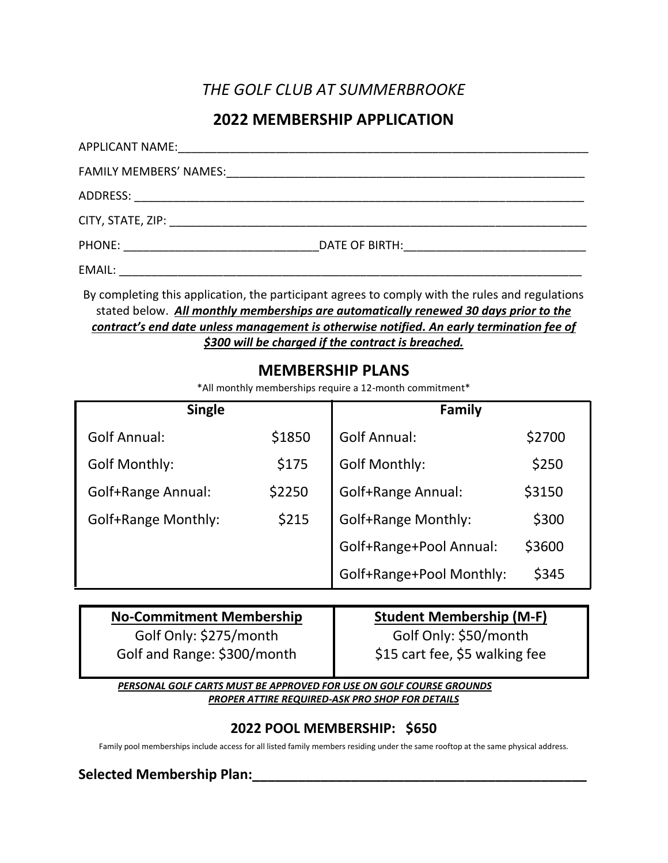# *THE GOLF CLUB AT SUMMERBROOKE*

## **2022 MEMBERSHIP APPLICATION**

By completing this application, the participant agrees to comply with the rules and regulations stated below. *All monthly memberships are automatically renewed 30 days prior to the contract's end date unless management is otherwise notified. An early termination fee of \$300 will be charged if the contract is breached.*

### **MEMBERSHIP PLANS**

\*All monthly memberships require a 12-month commitment\*

| <b>Single</b>              |        | <b>Family</b>              |        |
|----------------------------|--------|----------------------------|--------|
| <b>Golf Annual:</b>        | \$1850 | <b>Golf Annual:</b>        | \$2700 |
| <b>Golf Monthly:</b>       | \$175  | <b>Golf Monthly:</b>       | \$250  |
| <b>Golf+Range Annual:</b>  | \$2250 | Golf+Range Annual:         | \$3150 |
| <b>Golf+Range Monthly:</b> | \$215  | <b>Golf+Range Monthly:</b> | \$300  |
|                            |        | Golf+Range+Pool Annual:    | \$3600 |
|                            |        | Golf+Range+Pool Monthly:   | \$345  |

| <b>No-Commitment Membership</b> | <b>Student Membership (M-F)</b> |
|---------------------------------|---------------------------------|
| Golf Only: \$275/month          | Golf Only: \$50/month           |
| Golf and Range: \$300/month     | \$15 cart fee, \$5 walking fee  |

*PERSONAL GOLF CARTS MUST BE APPROVED FOR USE ON GOLF COURSE GROUNDS PROPER ATTIRE REQUIRED-ASK PRO SHOP FOR DETAILS*

#### **2022 POOL MEMBERSHIP: \$650**

Family pool memberships include access for all listed family members residing under the same rooftop at the same physical address.

#### **Selected Membership Plan:\_\_\_\_\_\_\_\_\_\_\_\_\_\_\_\_\_\_\_\_\_\_\_\_\_\_\_\_\_\_\_\_\_\_\_\_\_\_\_\_\_\_\_\_**